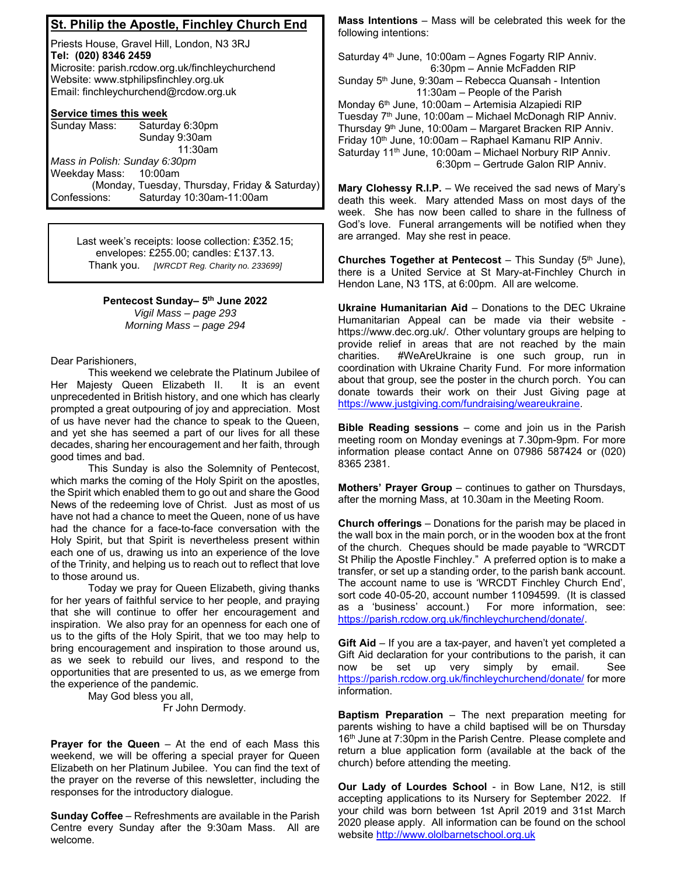## **St. Philip the Apostle, Finchley Church End**

Priests House, Gravel Hill, London, N3 3RJ **Tel: (020) 8346 2459** Microsite: parish.rcdow.org.uk/finchleychurchend Website: www.stphilipsfinchley.org.uk Email: finchleychurchend@rcdow.org.uk

## **Service times this week**

| Sunday Mass:                  | Saturday 6:30pm                                |
|-------------------------------|------------------------------------------------|
|                               | Sunday 9:30am                                  |
|                               | 11:30am                                        |
| Mass in Polish: Sunday 6:30pm |                                                |
| Weekday Mass: 10:00am         |                                                |
|                               | (Monday, Tuesday, Thursday, Friday & Saturday) |
| Confessions:                  | Saturday 10:30am-11:00am                       |

Last week's receipts: loose collection: £352.15; envelopes: £255.00; candles: £137.13. Thank you. *[WRCDT Reg. Charity no. 233699]* 

> **Pentecost Sunday– 5th June 2022**  *Vigil Mass – page 293 Morning Mass – page 294*

Dear Parishioners,

 This weekend we celebrate the Platinum Jubilee of Her Majesty Queen Elizabeth II. It is an event unprecedented in British history, and one which has clearly prompted a great outpouring of joy and appreciation. Most of us have never had the chance to speak to the Queen, and yet she has seemed a part of our lives for all these decades, sharing her encouragement and her faith, through good times and bad.

 This Sunday is also the Solemnity of Pentecost, which marks the coming of the Holy Spirit on the apostles, the Spirit which enabled them to go out and share the Good News of the redeeming love of Christ. Just as most of us have not had a chance to meet the Queen, none of us have had the chance for a face-to-face conversation with the Holy Spirit, but that Spirit is nevertheless present within each one of us, drawing us into an experience of the love of the Trinity, and helping us to reach out to reflect that love to those around us.

 Today we pray for Queen Elizabeth, giving thanks for her years of faithful service to her people, and praying that she will continue to offer her encouragement and inspiration. We also pray for an openness for each one of us to the gifts of the Holy Spirit, that we too may help to bring encouragement and inspiration to those around us, as we seek to rebuild our lives, and respond to the opportunities that are presented to us, as we emerge from the experience of the pandemic.

May God bless you all,

Fr John Dermody.

**Prayer for the Queen** – At the end of each Mass this weekend, we will be offering a special prayer for Queen Elizabeth on her Platinum Jubilee. You can find the text of the prayer on the reverse of this newsletter, including the responses for the introductory dialogue.

**Sunday Coffee** – Refreshments are available in the Parish Centre every Sunday after the 9:30am Mass. All are welcome.

**Mass Intentions** – Mass will be celebrated this week for the following intentions:

Saturday  $4<sup>th</sup>$  June, 10:00am – Agnes Fogarty RIP Anniv. 6:30pm – Annie McFadden RIP Sunday  $5<sup>th</sup>$  June, 9:30am – Rebecca Quansah - Intention 11:30am – People of the Parish Monday 6th June, 10:00am – Artemisia Alzapiedi RIP Tuesday  $7<sup>th</sup>$  June, 10:00am – Michael McDonagh RIP Anniv. Thursday 9th June, 10:00am – Margaret Bracken RIP Anniv. Friday 10th June, 10:00am – Raphael Kamanu RIP Anniv. Saturday 11<sup>th</sup> June, 10:00am - Michael Norbury RIP Anniv. 6:30pm – Gertrude Galon RIP Anniv.

**Mary Clohessy R.I.P.** – We received the sad news of Mary's death this week. Mary attended Mass on most days of the week. She has now been called to share in the fullness of God's love. Funeral arrangements will be notified when they are arranged. May she rest in peace.

**Churches Together at Pentecost** – This Sunday (5<sup>th</sup> June), there is a United Service at St Mary-at-Finchley Church in Hendon Lane, N3 1TS, at 6:00pm. All are welcome.

**Ukraine Humanitarian Aid** – Donations to the DEC Ukraine Humanitarian Appeal can be made via their website https://www.dec.org.uk/. Other voluntary groups are helping to provide relief in areas that are not reached by the main charities. #WeAreUkraine is one such group, run in coordination with Ukraine Charity Fund. For more information about that group, see the poster in the church porch. You can donate towards their work on their Just Giving page at https://www.justgiving.com/fundraising/weareukraine.

**Bible Reading sessions** – come and join us in the Parish meeting room on Monday evenings at 7.30pm-9pm. For more information please contact Anne on 07986 587424 or (020) 8365 2381.

**Mothers' Prayer Group** – continues to gather on Thursdays, after the morning Mass, at 10.30am in the Meeting Room.

**Church offerings** – Donations for the parish may be placed in the wall box in the main porch, or in the wooden box at the front of the church. Cheques should be made payable to "WRCDT St Philip the Apostle Finchley." A preferred option is to make a transfer, or set up a standing order, to the parish bank account. The account name to use is 'WRCDT Finchley Church End', sort code 40-05-20, account number 11094599. (It is classed as a 'business' account.) For more information, see: https://parish.rcdow.org.uk/finchleychurchend/donate/.

**Gift Aid** – If you are a tax-payer, and haven't yet completed a Gift Aid declaration for your contributions to the parish, it can now be set up very simply by email. See https://parish.rcdow.org.uk/finchleychurchend/donate/ for more information.

**Baptism Preparation** – The next preparation meeting for parents wishing to have a child baptised will be on Thursday 16<sup>th</sup> June at 7:30pm in the Parish Centre. Please complete and return a blue application form (available at the back of the church) before attending the meeting.

**Our Lady of Lourdes School** - in Bow Lane, N12, is still accepting applications to its Nursery for September 2022. If your child was born between 1st April 2019 and 31st March 2020 please apply. All information can be found on the school website http://www.ololbarnetschool.org.uk